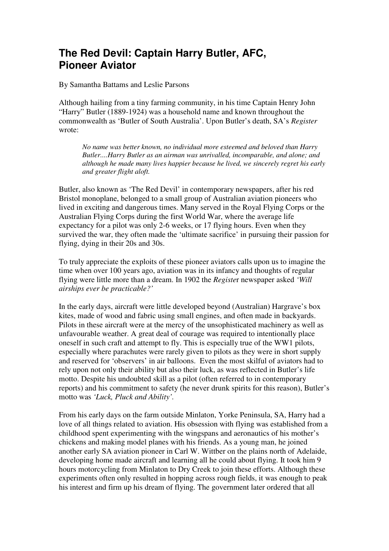## **The Red Devil: Captain Harry Butler, AFC, Pioneer Aviator**

By Samantha Battams and Leslie Parsons

Although hailing from a tiny farming community, in his time Captain Henry John "Harry" Butler (1889-1924) was a household name and known throughout the commonwealth as 'Butler of South Australia'. Upon Butler's death, SA's *Register* wrote:

*No name was better known, no individual more esteemed and beloved than Harry Butler....Harry Butler as an airman was unrivalled, incomparable, and alone; and although he made many lives happier because he lived, we sincerely regret his early and greater flight aloft.* 

Butler, also known as 'The Red Devil' in contemporary newspapers, after his red Bristol monoplane, belonged to a small group of Australian aviation pioneers who lived in exciting and dangerous times. Many served in the Royal Flying Corps or the Australian Flying Corps during the first World War, where the average life expectancy for a pilot was only 2-6 weeks, or 17 flying hours. Even when they survived the war, they often made the 'ultimate sacrifice' in pursuing their passion for flying, dying in their 20s and 30s.

To truly appreciate the exploits of these pioneer aviators calls upon us to imagine the time when over 100 years ago, aviation was in its infancy and thoughts of regular flying were little more than a dream. In 1902 the *Registe*r newspaper asked *'Will airships ever be practicable?'* 

In the early days, aircraft were little developed beyond (Australian) Hargrave's box kites, made of wood and fabric using small engines, and often made in backyards. Pilots in these aircraft were at the mercy of the unsophisticated machinery as well as unfavourable weather. A great deal of courage was required to intentionally place oneself in such craft and attempt to fly. This is especially true of the WW1 pilots, especially where parachutes were rarely given to pilots as they were in short supply and reserved for 'observers' in air balloons. Even the most skilful of aviators had to rely upon not only their ability but also their luck, as was reflected in Butler's life motto. Despite his undoubted skill as a pilot (often referred to in contemporary reports) and his commitment to safety (he never drunk spirits for this reason), Butler's motto was *'Luck, Pluck and Ability'.* 

From his early days on the farm outside Minlaton, Yorke Peninsula, SA, Harry had a love of all things related to aviation. His obsession with flying was established from a childhood spent experimenting with the wingspans and aeronautics of his mother's chickens and making model planes with his friends. As a young man, he joined another early SA aviation pioneer in Carl W. Wittber on the plains north of Adelaide, developing home made aircraft and learning all he could about flying. It took him 9 hours motorcycling from Minlaton to Dry Creek to join these efforts. Although these experiments often only resulted in hopping across rough fields, it was enough to peak his interest and firm up his dream of flying. The government later ordered that all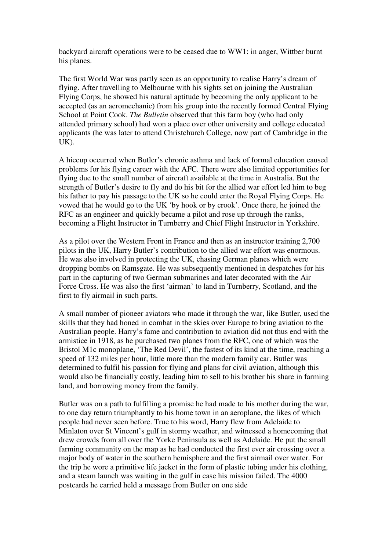backyard aircraft operations were to be ceased due to WW1: in anger, Wittber burnt his planes.

The first World War was partly seen as an opportunity to realise Harry's dream of flying. After travelling to Melbourne with his sights set on joining the Australian Flying Corps, he showed his natural aptitude by becoming the only applicant to be accepted (as an aeromechanic) from his group into the recently formed Central Flying School at Point Cook. *The Bulletin* observed that this farm boy (who had only attended primary school) had won a place over other university and college educated applicants (he was later to attend Christchurch College, now part of Cambridge in the  $UK$ ).

A hiccup occurred when Butler's chronic asthma and lack of formal education caused problems for his flying career with the AFC. There were also limited opportunities for flying due to the small number of aircraft available at the time in Australia. But the strength of Butler's desire to fly and do his bit for the allied war effort led him to beg his father to pay his passage to the UK so he could enter the Royal Flying Corps. He vowed that he would go to the UK 'by hook or by crook'. Once there, he joined the RFC as an engineer and quickly became a pilot and rose up through the ranks, becoming a Flight Instructor in Turnberry and Chief Flight Instructor in Yorkshire.

As a pilot over the Western Front in France and then as an instructor training 2,700 pilots in the UK, Harry Butler's contribution to the allied war effort was enormous. He was also involved in protecting the UK, chasing German planes which were dropping bombs on Ramsgate. He was subsequently mentioned in despatches for his part in the capturing of two German submarines and later decorated with the Air Force Cross. He was also the first 'airman' to land in Turnberry, Scotland, and the first to fly airmail in such parts.

A small number of pioneer aviators who made it through the war, like Butler, used the skills that they had honed in combat in the skies over Europe to bring aviation to the Australian people. Harry's fame and contribution to aviation did not thus end with the armistice in 1918, as he purchased two planes from the RFC, one of which was the Bristol M1c monoplane, 'The Red Devil', the fastest of its kind at the time, reaching a speed of 132 miles per hour, little more than the modern family car. Butler was determined to fulfil his passion for flying and plans for civil aviation, although this would also be financially costly, leading him to sell to his brother his share in farming land, and borrowing money from the family.

Butler was on a path to fulfilling a promise he had made to his mother during the war, to one day return triumphantly to his home town in an aeroplane, the likes of which people had never seen before. True to his word, Harry flew from Adelaide to Minlaton over St Vincent's gulf in stormy weather, and witnessed a homecoming that drew crowds from all over the Yorke Peninsula as well as Adelaide. He put the small farming community on the map as he had conducted the first ever air crossing over a major body of water in the southern hemisphere and the first airmail over water. For the trip he wore a primitive life jacket in the form of plastic tubing under his clothing, and a steam launch was waiting in the gulf in case his mission failed. The 4000 postcards he carried held a message from Butler on one side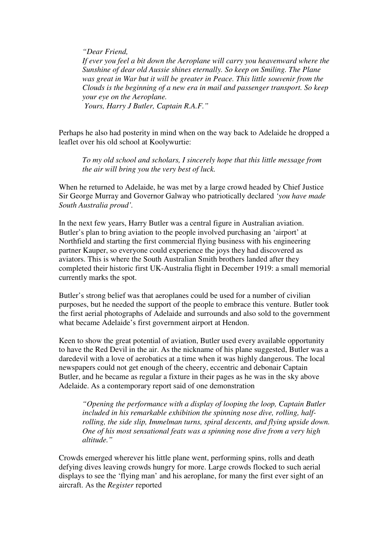*"Dear Friend,* 

*If ever you feel a bit down the Aeroplane will carry you heavenward where the Sunshine of dear old Aussie shines eternally. So keep on Smiling. The Plane was great in War but it will be greater in Peace. This little souvenir from the Clouds is the beginning of a new era in mail and passenger transport. So keep your eye on the Aeroplane.* 

 *Yours, Harry J Butler, Captain R.A.F."* 

Perhaps he also had posterity in mind when on the way back to Adelaide he dropped a leaflet over his old school at Koolywurtie:

*To my old school and scholars, I sincerely hope that this little message from the air will bring you the very best of luck.* 

When he returned to Adelaide, he was met by a large crowd headed by Chief Justice Sir George Murray and Governor Galway who patriotically declared *'you have made South Australia proud'.* 

In the next few years, Harry Butler was a central figure in Australian aviation. Butler's plan to bring aviation to the people involved purchasing an 'airport' at Northfield and starting the first commercial flying business with his engineering partner Kauper, so everyone could experience the joys they had discovered as aviators. This is where the South Australian Smith brothers landed after they completed their historic first UK-Australia flight in December 1919: a small memorial currently marks the spot.

Butler's strong belief was that aeroplanes could be used for a number of civilian purposes, but he needed the support of the people to embrace this venture. Butler took the first aerial photographs of Adelaide and surrounds and also sold to the government what became Adelaide's first government airport at Hendon.

Keen to show the great potential of aviation, Butler used every available opportunity to have the Red Devil in the air. As the nickname of his plane suggested, Butler was a daredevil with a love of aerobatics at a time when it was highly dangerous. The local newspapers could not get enough of the cheery, eccentric and debonair Captain Butler, and he became as regular a fixture in their pages as he was in the sky above Adelaide. As a contemporary report said of one demonstration

*"Opening the performance with a display of looping the loop, Captain Butler included in his remarkable exhibition the spinning nose dive, rolling, halfrolling, the side slip, Immelman turns, spiral descents, and flying upside down. One of his most sensational feats was a spinning nose dive from a very high altitude."* 

Crowds emerged wherever his little plane went, performing spins, rolls and death defying dives leaving crowds hungry for more. Large crowds flocked to such aerial displays to see the 'flying man' and his aeroplane, for many the first ever sight of an aircraft. As the *Register* reported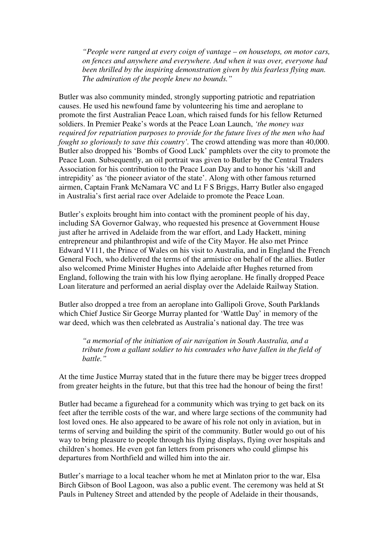*"People were ranged at every coign of vantage – on housetops, on motor cars, on fences and anywhere and everywhere. And when it was over, everyone had been thrilled by the inspiring demonstration given by this fearless flying man. The admiration of the people knew no bounds."* 

Butler was also community minded, strongly supporting patriotic and repatriation causes. He used his newfound fame by volunteering his time and aeroplane to promote the first Australian Peace Loan, which raised funds for his fellow Returned soldiers. In Premier Peake's words at the Peace Loan Launch, *'the money was required for repatriation purposes to provide for the future lives of the men who had fought so gloriously to save this country'*. The crowd attending was more than 40,000. Butler also dropped his 'Bombs of Good Luck' pamphlets over the city to promote the Peace Loan. Subsequently, an oil portrait was given to Butler by the Central Traders Association for his contribution to the Peace Loan Day and to honor his 'skill and intrepidity' as 'the pioneer aviator of the state'. Along with other famous returned airmen, Captain Frank McNamara VC and Lt F S Briggs, Harry Butler also engaged in Australia's first aerial race over Adelaide to promote the Peace Loan.

Butler's exploits brought him into contact with the prominent people of his day, including SA Governor Galway, who requested his presence at Government House just after he arrived in Adelaide from the war effort, and Lady Hackett, mining entrepreneur and philanthropist and wife of the City Mayor. He also met Prince Edward V111, the Prince of Wales on his visit to Australia, and in England the French General Foch, who delivered the terms of the armistice on behalf of the allies. Butler also welcomed Prime Minister Hughes into Adelaide after Hughes returned from England, following the train with his low flying aeroplane. He finally dropped Peace Loan literature and performed an aerial display over the Adelaide Railway Station.

Butler also dropped a tree from an aeroplane into Gallipoli Grove, South Parklands which Chief Justice Sir George Murray planted for 'Wattle Day' in memory of the war deed, which was then celebrated as Australia's national day. The tree was

*"a memorial of the initiation of air navigation in South Australia, and a tribute from a gallant soldier to his comrades who have fallen in the field of battle."* 

At the time Justice Murray stated that in the future there may be bigger trees dropped from greater heights in the future, but that this tree had the honour of being the first!

Butler had became a figurehead for a community which was trying to get back on its feet after the terrible costs of the war, and where large sections of the community had lost loved ones. He also appeared to be aware of his role not only in aviation, but in terms of serving and building the spirit of the community. Butler would go out of his way to bring pleasure to people through his flying displays, flying over hospitals and children's homes. He even got fan letters from prisoners who could glimpse his departures from Northfield and willed him into the air.

Butler's marriage to a local teacher whom he met at Minlaton prior to the war, Elsa Birch Gibson of Bool Lagoon, was also a public event. The ceremony was held at St Pauls in Pulteney Street and attended by the people of Adelaide in their thousands,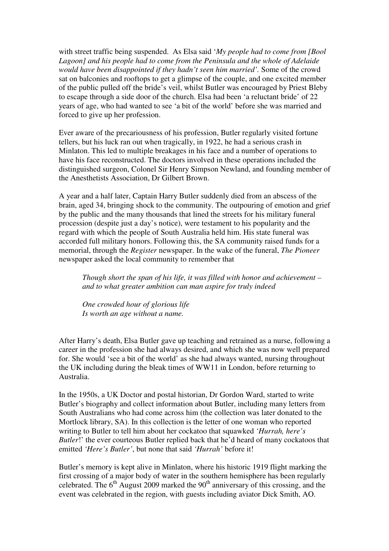with street traffic being suspended. As Elsa said '*My people had to come from [Bool Lagoon] and his people had to come from the Peninsula and the whole of Adelaide would have been disappointed if they hadn't seen him married'.* Some of the crowd sat on balconies and rooftops to get a glimpse of the couple, and one excited member of the public pulled off the bride's veil, whilst Butler was encouraged by Priest Bleby to escape through a side door of the church. Elsa had been 'a reluctant bride' of 22 years of age, who had wanted to see 'a bit of the world' before she was married and forced to give up her profession.

Ever aware of the precariousness of his profession, Butler regularly visited fortune tellers, but his luck ran out when tragically, in 1922, he had a serious crash in Minlaton. This led to multiple breakages in his face and a number of operations to have his face reconstructed. The doctors involved in these operations included the distinguished surgeon, Colonel Sir Henry Simpson Newland, and founding member of the Anesthetists Association, Dr Gilbert Brown.

A year and a half later, Captain Harry Butler suddenly died from an abscess of the brain, aged 34, bringing shock to the community. The outpouring of emotion and grief by the public and the many thousands that lined the streets for his military funeral procession (despite just a day's notice), were testament to his popularity and the regard with which the people of South Australia held him. His state funeral was accorded full military honors. Following this, the SA community raised funds for a memorial, through the *Register* newspaper. In the wake of the funeral, *The Pioneer* newspaper asked the local community to remember that

*Though short the span of his life, it was filled with honor and achievement – and to what greater ambition can man aspire for truly indeed* 

*One crowded hour of glorious life Is worth an age without a name.* 

After Harry's death, Elsa Butler gave up teaching and retrained as a nurse, following a career in the profession she had always desired, and which she was now well prepared for. She would 'see a bit of the world' as she had always wanted, nursing throughout the UK including during the bleak times of WW11 in London, before returning to Australia.

In the 1950s, a UK Doctor and postal historian, Dr Gordon Ward, started to write Butler's biography and collect information about Butler, including many letters from South Australians who had come across him (the collection was later donated to the Mortlock library, SA). In this collection is the letter of one woman who reported writing to Butler to tell him about her cockatoo that squawked *'Hurrah, here's Butler!*' the ever courteous Butler replied back that he'd heard of many cockatoos that emitted *'Here's Butler'*, but none that said *'Hurrah'* before it!

Butler's memory is kept alive in Minlaton, where his historic 1919 flight marking the first crossing of a major body of water in the southern hemisphere has been regularly celebrated. The  $6<sup>th</sup>$  August 2009 marked the 90<sup>th</sup> anniversary of this crossing, and the event was celebrated in the region, with guests including aviator Dick Smith, AO.